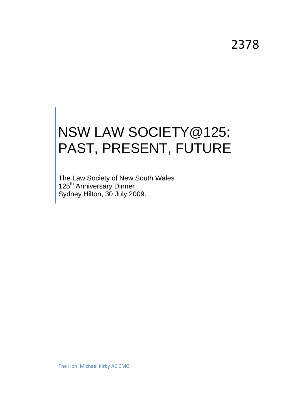2378

# NSW LAW SOCIETY@125: PAST, PRESENT, FUTURE

The Law Society of New South Wales 125<sup>th</sup> Anniversary Dinner Sydney Hilton, 30 July 2009.

The Hon. Michael Kirby AC CMG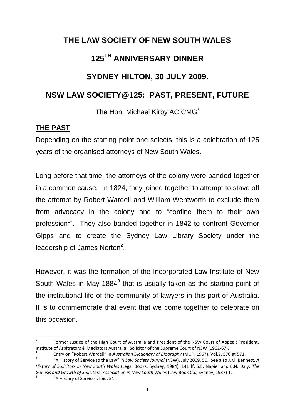## **THE LAW SOCIETY OF NEW SOUTH WALES**

### **125TH ANNIVERSARY DINNER**

#### **SYDNEY HILTON, 30 JULY 2009.**

#### **NSW LAW SOCIETY@125: PAST, PRESENT, FUTURE**

The Hon. Michael Kirby AC CMG

#### **THE PAST**

Depending on the starting point one selects, this is a celebration of 125 years of the organised attorneys of New South Wales.

Long before that time, the attorneys of the colony were banded together in a common cause. In 1824, they joined together to attempt to stave off the attempt by Robert Wardell and William Wentworth to exclude them from advocacy in the colony and to "confine them to their own profession<sup>1</sup>". They also banded together in 1842 to confront Governor Gipps and to create the Sydney Law Library Society under the leadership of James Norton<sup>2</sup>.

However, it was the formation of the Incorporated Law Institute of New South Wales in May 1884 $3$  that is usually taken as the starting point of the institutional life of the community of lawyers in this part of Australia. It is to commemorate that event that we come together to celebrate on this occasion.

**.** 

<sup>×</sup>  Former Justice of the High Court of Australia and President of the NSW Court of Appeal; President, Institute of Arbitrators & Mediators Australia. Solicitor of the Supreme Court of NSW (1962-67).

<sup>1</sup> Entry on "Robert Wardell" in *Australian Dictionary of Biography* (MUP, 1967), Vol.2, 570 at 571.

<sup>2</sup> "A History of Service to the Law" in *Law Society Journal* (NSW), July 2009, 50. See also J.M. Bennett, *A History of Solicitors in New South Wales* (Legal Books, Sydney, 1984), 141 ff; S.E. Napier and E.N. Daly, *The Genesis and Growth of Solicitors' Association in New South Wales* (Law Book Co., Sydney, 1937) 1. 3

"A History of Service", Ibid. 51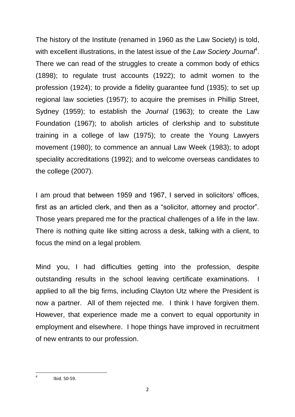The history of the Institute (renamed in 1960 as the Law Society) is told, with excellent illustrations, in the latest issue of the Law Society Journal<sup>4</sup>. There we can read of the struggles to create a common body of ethics (1898); to regulate trust accounts (1922); to admit women to the profession (1924); to provide a fidelity guarantee fund (1935); to set up regional law societies (1957); to acquire the premises in Phillip Street, Sydney (1959); to establish the *Journal* (1963); to create the Law Foundation (1967); to abolish articles of clerkship and to substitute training in a college of law (1975); to create the Young Lawyers movement (1980); to commence an annual Law Week (1983); to adopt speciality accreditations (1992); and to welcome overseas candidates to the college (2007).

I am proud that between 1959 and 1967, I served in solicitors' offices, first as an articled clerk, and then as a "solicitor, attorney and proctor". Those years prepared me for the practical challenges of a life in the law. There is nothing quite like sitting across a desk, talking with a client, to focus the mind on a legal problem.

Mind you, I had difficulties getting into the profession, despite outstanding results in the school leaving certificate examinations. I applied to all the big firms, including Clayton Utz where the President is now a partner. All of them rejected me. I think I have forgiven them. However, that experience made me a convert to equal opportunity in employment and elsewhere. I hope things have improved in recruitment of new entrants to our profession.

**<sup>.</sup>** 4 Ibid. 50-59.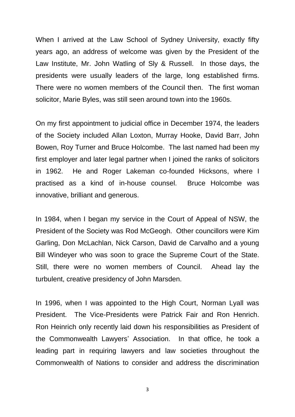When I arrived at the Law School of Sydney University, exactly fifty years ago, an address of welcome was given by the President of the Law Institute, Mr. John Watling of Sly & Russell. In those days, the presidents were usually leaders of the large, long established firms. There were no women members of the Council then. The first woman solicitor, Marie Byles, was still seen around town into the 1960s.

On my first appointment to judicial office in December 1974, the leaders of the Society included Allan Loxton, Murray Hooke, David Barr, John Bowen, Roy Turner and Bruce Holcombe. The last named had been my first employer and later legal partner when I joined the ranks of solicitors in 1962. He and Roger Lakeman co-founded Hicksons, where I practised as a kind of in-house counsel. Bruce Holcombe was innovative, brilliant and generous.

In 1984, when I began my service in the Court of Appeal of NSW, the President of the Society was Rod McGeogh. Other councillors were Kim Garling, Don McLachlan, Nick Carson, David de Carvalho and a young Bill Windeyer who was soon to grace the Supreme Court of the State. Still, there were no women members of Council. Ahead lay the turbulent, creative presidency of John Marsden.

In 1996, when I was appointed to the High Court, Norman Lyall was President. The Vice-Presidents were Patrick Fair and Ron Henrich. Ron Heinrich only recently laid down his responsibilities as President of the Commonwealth Lawyers" Association. In that office, he took a leading part in requiring lawyers and law societies throughout the Commonwealth of Nations to consider and address the discrimination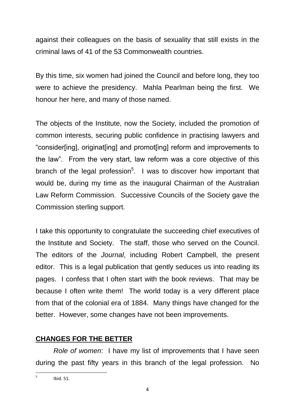against their colleagues on the basis of sexuality that still exists in the criminal laws of 41 of the 53 Commonwealth countries.

By this time, six women had joined the Council and before long, they too were to achieve the presidency. Mahla Pearlman being the first. We honour her here, and many of those named.

The objects of the Institute, now the Society, included the promotion of common interests, securing public confidence in practising lawyers and "consider[ing], originat[ing] and promot[ing] reform and improvements to the law". From the very start, law reform was a core objective of this branch of the legal profession<sup>5</sup>. I was to discover how important that would be, during my time as the inaugural Chairman of the Australian Law Reform Commission. Successive Councils of the Society gave the Commission sterling support.

I take this opportunity to congratulate the succeeding chief executives of the Institute and Society. The staff, those who served on the Council. The editors of the *Journal*, including Robert Campbell, the present editor. This is a legal publication that gently seduces us into reading its pages. I confess that I often start with the book reviews. That may be because I often write them! The world today is a very different place from that of the colonial era of 1884. Many things have changed for the better. However, some changes have not been improvements.

#### **CHANGES FOR THE BETTER**

*Role of women*: I have my list of improvements that I have seen during the past fifty years in this branch of the legal profession. No

<sup>-&</sup>lt;br>5 Ibid. 51.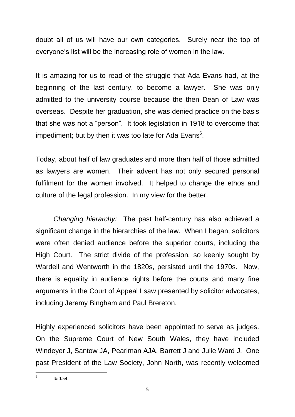doubt all of us will have our own categories. Surely near the top of everyone's list will be the increasing role of women in the law.

It is amazing for us to read of the struggle that Ada Evans had, at the beginning of the last century, to become a lawyer. She was only admitted to the university course because the then Dean of Law was overseas. Despite her graduation, she was denied practice on the basis that she was not a "person". It took legislation in 1918 to overcome that impediment; but by then it was too late for Ada Evans<sup>6</sup>.

Today, about half of law graduates and more than half of those admitted as lawyers are women. Their advent has not only secured personal fulfilment for the women involved. It helped to change the ethos and culture of the legal profession. In my view for the better.

*Changing hierarchy:* The past half-century has also achieved a significant change in the hierarchies of the law. When I began, solicitors were often denied audience before the superior courts, including the High Court. The strict divide of the profession, so keenly sought by Wardell and Wentworth in the 1820s, persisted until the 1970s. Now, there is equality in audience rights before the courts and many fine arguments in the Court of Appeal I saw presented by solicitor advocates, including Jeremy Bingham and Paul Brereton.

Highly experienced solicitors have been appointed to serve as judges. On the Supreme Court of New South Wales, they have included Windeyer J, Santow JA, Pearlman AJA, Barrett J and Julie Ward J. One past President of the Law Society, John North, was recently welcomed

<sup>—&</sup>lt;br>6 Ibid.54.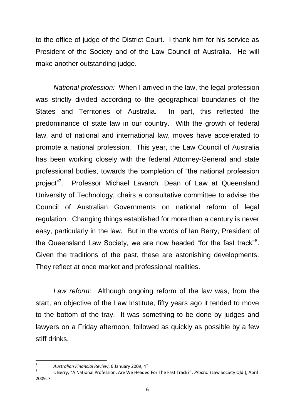to the office of judge of the District Court. I thank him for his service as President of the Society and of the Law Council of Australia. He will make another outstanding judge.

*National profession:* When I arrived in the law, the legal profession was strictly divided according to the geographical boundaries of the States and Territories of Australia. In part, this reflected the predominance of state law in our country. With the growth of federal law, and of national and international law, moves have accelerated to promote a national profession. This year, the Law Council of Australia has been working closely with the federal Attorney-General and state professional bodies, towards the completion of "the national profession project"<sup>7</sup>. Professor Michael Lavarch, Dean of Law at Queensland University of Technology, chairs a consultative committee to advise the Council of Australian Governments on national reform of legal regulation. Changing things established for more than a century is never easy, particularly in the law. But in the words of Ian Berry, President of the Queensland Law Society, we are now headed "for the fast track"<sup>8</sup>. Given the traditions of the past, these are astonishing developments. They reflect at once market and professional realities.

*Law reform:* Although ongoing reform of the law was, from the start, an objective of the Law Institute, fifty years ago it tended to move to the bottom of the tray. It was something to be done by judges and lawyers on a Friday afternoon, followed as quickly as possible by a few stiff drinks.

**.** 

<sup>7</sup> *Australian Financial Review*, 6 January 2009, 4? 8

I. Berry, "A National Profession, Are We Headed For The Fast Track?", *Proctor* (Law Society Qld.), April 2009, 7.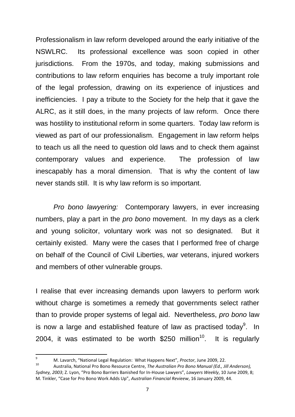Professionalism in law reform developed around the early initiative of the NSWLRC. Its professional excellence was soon copied in other jurisdictions. From the 1970s, and today, making submissions and contributions to law reform enquiries has become a truly important role of the legal profession, drawing on its experience of injustices and inefficiencies. I pay a tribute to the Society for the help that it gave the ALRC, as it still does, in the many projects of law reform. Once there was hostility to institutional reform in some quarters. Today law reform is viewed as part of our professionalism. Engagement in law reform helps to teach us all the need to question old laws and to check them against contemporary values and experience. The profession of law inescapably has a moral dimension. That is why the content of law never stands still. It is why law reform is so important.

*Pro bono lawyering:* Contemporary lawyers, in ever increasing numbers, play a part in the *pro bono* movement. In my days as a clerk and young solicitor, voluntary work was not so designated. But it certainly existed. Many were the cases that I performed free of charge on behalf of the Council of Civil Liberties, war veterans, injured workers and members of other vulnerable groups.

I realise that ever increasing demands upon lawyers to perform work without charge is sometimes a remedy that governments select rather than to provide proper systems of legal aid. Nevertheless, *pro bono* law is now a large and established feature of law as practised today<sup>9</sup>. In 2004, it was estimated to be worth  $$250$  million<sup>10</sup>. It is regularly

<sup>-&</sup>lt;br>9 M. Lavarch, "National Legal Regulation: What Happens Next", *Proctor*, June 2009, 22.

<sup>10</sup> Australia, National Pro Bono Resource Centre, *The Australian Pro Bono Manual (Ed., Jill Anderson), Sydney, 2003*; Z. Lyon, "Pro Bono Barriers Banished for In-House Lawyers", *Lawyers Weekly*, 10 June 2009, 8; M. Tinkler, "Case for Pro Bono Work Adds Up", *Australian Financial Revieew*, 16 January 2009, 44.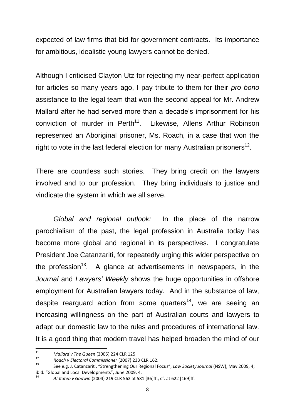expected of law firms that bid for government contracts. Its importance for ambitious, idealistic young lawyers cannot be denied.

Although I criticised Clayton Utz for rejecting my near-perfect application for articles so many years ago, I pay tribute to them for their *pro bono* assistance to the legal team that won the second appeal for Mr. Andrew Mallard after he had served more than a decade"s imprisonment for his conviction of murder in Perth<sup>11</sup>. Likewise, Allens Arthur Robinson represented an Aboriginal prisoner, Ms. Roach, in a case that won the right to vote in the last federal election for many Australian prisoners<sup>12</sup>.

There are countless such stories. They bring credit on the lawyers involved and to our profession. They bring individuals to justice and vindicate the system in which we all serve.

*Global and regional outlook:* In the place of the narrow parochialism of the past, the legal profession in Australia today has become more global and regional in its perspectives. I congratulate President Joe Catanzariti, for repeatedly urging this wider perspective on the profession<sup>13</sup>. A glance at advertisements in newspapers, in the *Journal* and *Lawyers' Weekly* shows the huge opportunities in offshore employment for Australian lawyers today. And in the substance of law, despite rearguard action from some quarters<sup>14</sup>, we are seeing an increasing willingness on the part of Australian courts and lawyers to adapt our domestic law to the rules and procedures of international law. It is a good thing that modern travel has helped broaden the mind of our

 $\frac{1}{11}$ *Mallard v The Queen* (2005) 224 CLR 125.

<sup>12</sup> *Roach v Electoral Commissioner* (2007) 233 CLR 162.

<sup>13</sup> See e.g. J. Catanzariti, "Strengthening Our Regional Focus", *Law Society Journal* (NSW), May 2009, 4; ibid. "Global and Local Developments", June 2009, 4.

<sup>14</sup> *Al-Kateb v Godwin* (2004) 219 CLR 562 at 581 [36]ff.; cf. at 622 [169]ff.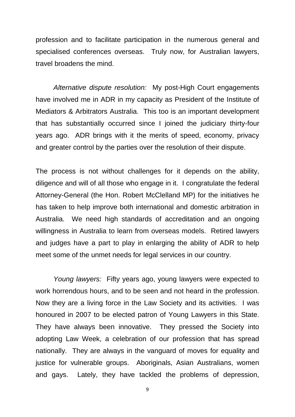profession and to facilitate participation in the numerous general and specialised conferences overseas. Truly now, for Australian lawyers, travel broadens the mind.

*Alternative dispute resolution:* My post-High Court engagements have involved me in ADR in my capacity as President of the Institute of Mediators & Arbitrators Australia. This too is an important development that has substantially occurred since I joined the judiciary thirty-four years ago. ADR brings with it the merits of speed, economy, privacy and greater control by the parties over the resolution of their dispute.

The process is not without challenges for it depends on the ability, diligence and will of all those who engage in it. I congratulate the federal Attorney-General (the Hon. Robert McClelland MP) for the initiatives he has taken to help improve both international and domestic arbitration in Australia. We need high standards of accreditation and an ongoing willingness in Australia to learn from overseas models. Retired lawyers and judges have a part to play in enlarging the ability of ADR to help meet some of the unmet needs for legal services in our country.

*Young lawyers:* Fifty years ago, young lawyers were expected to work horrendous hours, and to be seen and not heard in the profession. Now they are a living force in the Law Society and its activities. I was honoured in 2007 to be elected patron of Young Lawyers in this State. They have always been innovative. They pressed the Society into adopting Law Week, a celebration of our profession that has spread nationally. They are always in the vanguard of moves for equality and justice for vulnerable groups. Aboriginals, Asian Australians, women and gays. Lately, they have tackled the problems of depression,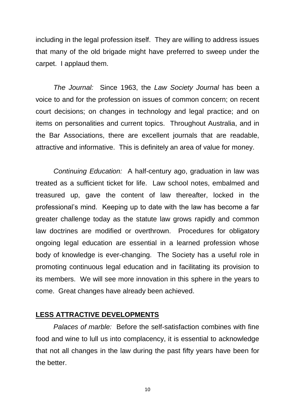including in the legal profession itself. They are willing to address issues that many of the old brigade might have preferred to sweep under the carpet. I applaud them.

*The Journal:* Since 1963, the *Law Society Journal* has been a voice to and for the profession on issues of common concern; on recent court decisions; on changes in technology and legal practice; and on items on personalities and current topics. Throughout Australia, and in the Bar Associations, there are excellent journals that are readable, attractive and informative. This is definitely an area of value for money.

*Continuing Education:* A half-century ago, graduation in law was treated as a sufficient ticket for life. Law school notes, embalmed and treasured up, gave the content of law thereafter, locked in the professional"s mind. Keeping up to date with the law has become a far greater challenge today as the statute law grows rapidly and common law doctrines are modified or overthrown. Procedures for obligatory ongoing legal education are essential in a learned profession whose body of knowledge is ever-changing. The Society has a useful role in promoting continuous legal education and in facilitating its provision to its members. We will see more innovation in this sphere in the years to come. Great changes have already been achieved.

#### **LESS ATTRACTIVE DEVELOPMENTS**

*Palaces of marble:* Before the self-satisfaction combines with fine food and wine to lull us into complacency, it is essential to acknowledge that not all changes in the law during the past fifty years have been for the better.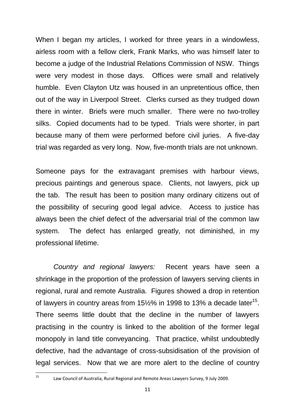When I began my articles, I worked for three years in a windowless, airless room with a fellow clerk, Frank Marks, who was himself later to become a judge of the Industrial Relations Commission of NSW. Things were very modest in those days. Offices were small and relatively humble. Even Clayton Utz was housed in an unpretentious office, then out of the way in Liverpool Street. Clerks cursed as they trudged down there in winter. Briefs were much smaller. There were no two-trolley silks. Copied documents had to be typed. Trials were shorter, in part because many of them were performed before civil juries. A five-day trial was regarded as very long. Now, five-month trials are not unknown.

Someone pays for the extravagant premises with harbour views, precious paintings and generous space. Clients, not lawyers, pick up the tab. The result has been to position many ordinary citizens out of the possibility of securing good legal advice. Access to justice has always been the chief defect of the adversarial trial of the common law system. The defect has enlarged greatly, not diminished, in my professional lifetime.

*Country and regional lawyers:* Recent years have seen a shrinkage in the proportion of the profession of lawyers serving clients in regional, rural and remote Australia. Figures showed a drop in retention of lawyers in country areas from  $15\frac{1}{2}\%$  in 1998 to 13% a decade later<sup>15</sup>. There seems little doubt that the decline in the number of lawyers practising in the country is linked to the abolition of the former legal monopoly in land title conveyancing. That practice, whilst undoubtedly defective, had the advantage of cross-subsidisation of the provision of legal services. Now that we are more alert to the decline of country

 $15<sup>1</sup>$ 

<sup>15</sup> Law Council of Australia, Rural Regional and Remote Areas Lawyers Survey, 9 July 2009.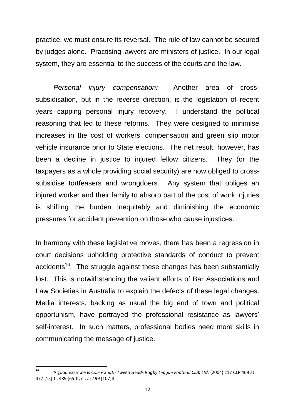practice, we must ensure its reversal. The rule of law cannot be secured by judges alone. Practising lawyers are ministers of justice. In our legal system, they are essential to the success of the courts and the law.

*Personal injury compensation:* Another area of crosssubsidisation, but in the reverse direction, is the legislation of recent years capping personal injury recovery. I understand the political reasoning that led to these reforms. They were designed to minimise increases in the cost of workers' compensation and green slip motor vehicle insurance prior to State elections. The net result, however, has been a decline in justice to injured fellow citizens. They (or the taxpayers as a whole providing social security) are now obliged to crosssubsidise tortfeasers and wrongdoers. Any system that obliges an injured worker and their family to absorb part of the cost of work injuries is shifting the burden inequitably and diminishing the economic pressures for accident prevention on those who cause injustices.

In harmony with these legislative moves, there has been a regression in court decisions upholding protective standards of conduct to prevent accidents<sup>16</sup>. The struggle against these changes has been substantially lost. This is notwithstanding the valiant efforts of Bar Associations and Law Societies in Australia to explain the defects of these legal changes. Media interests, backing as usual the big end of town and political opportunism, have portrayed the professional resistance as lawyers" self-interest. In such matters, professional bodies need more skills in communicating the message of justice.

 $16$ <sup>16</sup> A good example is *Cole v South Tweed Heads Rugby League Football Club Ltd.* (2004) 217 CLR 469 at 477 [15]ff.; 489 [65]ff; cf. at 499 [107]ff.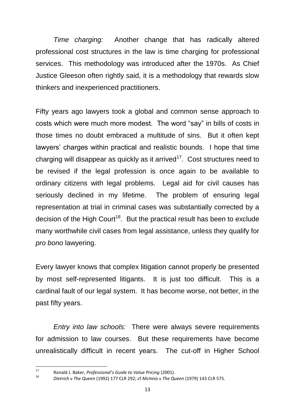*Time charging:* Another change that has radically altered professional cost structures in the law is time charging for professional services. This methodology was introduced after the 1970s. As Chief Justice Gleeson often rightly said, it is a methodology that rewards slow thinkers and inexperienced practitioners.

Fifty years ago lawyers took a global and common sense approach to costs which were much more modest. The word "say" in bills of costs in those times no doubt embraced a multitude of sins. But it often kept lawyers" charges within practical and realistic bounds. I hope that time charging will disappear as quickly as it arrived<sup>17</sup>. Cost structures need to be revised if the legal profession is once again to be available to ordinary citizens with legal problems. Legal aid for civil causes has seriously declined in my lifetime. The problem of ensuring legal representation at trial in criminal cases was substantially corrected by a decision of the High Court<sup>18</sup>. But the practical result has been to exclude many worthwhile civil cases from legal assistance, unless they qualify for *pro bono* lawyering.

Every lawyer knows that complex litigation cannot properly be presented by most self-represented litigants. It is just too difficult. This is a cardinal fault of our legal system. It has become worse, not better, in the past fifty years.

*Entry into law schools:* There were always severe requirements for admission to law courses. But these requirements have become unrealistically difficult in recent years. The cut-off in Higher School

 $17$ <sup>17</sup> Ronald J. Baker, *Professional's Guide to Value Pricing* (2001).

<sup>18</sup> *Dietrich v The Queen* (1992) 177 CLR 292; cf *McInnis v The Queen* (1979) 143 CLR 575.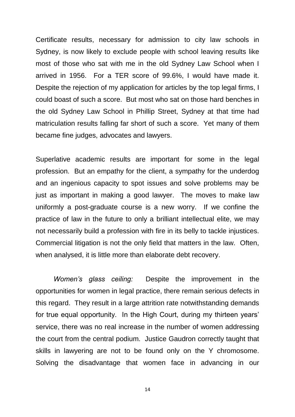Certificate results, necessary for admission to city law schools in Sydney, is now likely to exclude people with school leaving results like most of those who sat with me in the old Sydney Law School when I arrived in 1956. For a TER score of 99.6%, I would have made it. Despite the rejection of my application for articles by the top legal firms, I could boast of such a score. But most who sat on those hard benches in the old Sydney Law School in Phillip Street, Sydney at that time had matriculation results falling far short of such a score. Yet many of them became fine judges, advocates and lawyers.

Superlative academic results are important for some in the legal profession. But an empathy for the client, a sympathy for the underdog and an ingenious capacity to spot issues and solve problems may be just as important in making a good lawyer. The moves to make law uniformly a post-graduate course is a new worry. If we confine the practice of law in the future to only a brilliant intellectual elite, we may not necessarily build a profession with fire in its belly to tackle injustices. Commercial litigation is not the only field that matters in the law. Often, when analysed, it is little more than elaborate debt recovery.

*Women's glass ceiling:* Despite the improvement in the opportunities for women in legal practice, there remain serious defects in this regard. They result in a large attrition rate notwithstanding demands for true equal opportunity. In the High Court, during my thirteen years' service, there was no real increase in the number of women addressing the court from the central podium. Justice Gaudron correctly taught that skills in lawyering are not to be found only on the Y chromosome. Solving the disadvantage that women face in advancing in our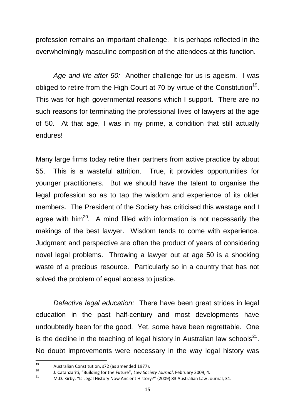profession remains an important challenge. It is perhaps reflected in the overwhelmingly masculine composition of the attendees at this function.

*Age and life after 50:* Another challenge for us is ageism. I was obliged to retire from the High Court at 70 by virtue of the Constitution<sup>19</sup>. This was for high governmental reasons which I support. There are no such reasons for terminating the professional lives of lawyers at the age of 50. At that age, I was in my prime, a condition that still actually endures!

Many large firms today retire their partners from active practice by about 55. This is a wasteful attrition. True, it provides opportunities for younger practitioners. But we should have the talent to organise the legal profession so as to tap the wisdom and experience of its older members. The President of the Society has criticised this wastage and I agree with  $\text{him}^{20}$ . A mind filled with information is not necessarily the makings of the best lawyer. Wisdom tends to come with experience. Judgment and perspective are often the product of years of considering novel legal problems. Throwing a lawyer out at age 50 is a shocking waste of a precious resource. Particularly so in a country that has not solved the problem of equal access to justice.

*Defective legal education:* There have been great strides in legal education in the past half-century and most developments have undoubtedly been for the good. Yet, some have been regrettable. One is the decline in the teaching of legal history in Australian law schools<sup>21</sup>. No doubt improvements were necessary in the way legal history was

<sup>19</sup> <sup>19</sup> Australian Constitution, s72 (as amended 1977).  $20$ 

J. Catanzariti, "Building for the Future", *Law Society Journal*, February 2009, 4.

<sup>21</sup> M.D. Kirby, "Is Legal History Now Ancient History?" (2009) 83 Australian Law Journal, 31.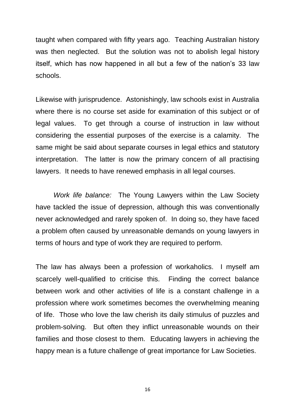taught when compared with fifty years ago. Teaching Australian history was then neglected. But the solution was not to abolish legal history itself, which has now happened in all but a few of the nation"s 33 law schools.

Likewise with jurisprudence. Astonishingly, law schools exist in Australia where there is no course set aside for examination of this subject or of legal values. To get through a course of instruction in law without considering the essential purposes of the exercise is a calamity. The same might be said about separate courses in legal ethics and statutory interpretation. The latter is now the primary concern of all practising lawyers. It needs to have renewed emphasis in all legal courses.

*Work life balance:* The Young Lawyers within the Law Society have tackled the issue of depression, although this was conventionally never acknowledged and rarely spoken of. In doing so, they have faced a problem often caused by unreasonable demands on young lawyers in terms of hours and type of work they are required to perform.

The law has always been a profession of workaholics. I myself am scarcely well-qualified to criticise this. Finding the correct balance between work and other activities of life is a constant challenge in a profession where work sometimes becomes the overwhelming meaning of life. Those who love the law cherish its daily stimulus of puzzles and problem-solving. But often they inflict unreasonable wounds on their families and those closest to them. Educating lawyers in achieving the happy mean is a future challenge of great importance for Law Societies.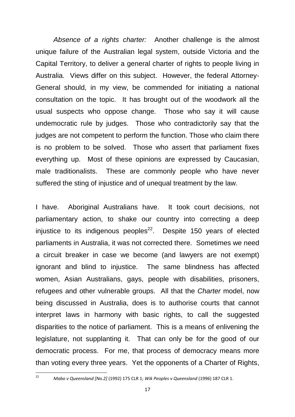*Absence of a rights charter:* Another challenge is the almost unique failure of the Australian legal system, outside Victoria and the Capital Territory, to deliver a general charter of rights to people living in Australia. Views differ on this subject. However, the federal Attorney-General should, in my view, be commended for initiating a national consultation on the topic. It has brought out of the woodwork all the usual suspects who oppose change. Those who say it will cause undemocratic rule by judges. Those who contradictorily say that the judges are not competent to perform the function. Those who claim there is no problem to be solved. Those who assert that parliament fixes everything up. Most of these opinions are expressed by Caucasian, male traditionalists. These are commonly people who have never suffered the sting of injustice and of unequal treatment by the law.

I have. Aboriginal Australians have. It took court decisions, not parliamentary action, to shake our country into correcting a deep injustice to its indigenous peoples<sup>22</sup>. Despite 150 years of elected parliaments in Australia, it was not corrected there. Sometimes we need a circuit breaker in case we become (and lawyers are not exempt) ignorant and blind to injustice. The same blindness has affected women, Asian Australians, gays, people with disabilities, prisoners, refugees and other vulnerable groups. All that the *Charter* model, now being discussed in Australia, does is to authorise courts that cannot interpret laws in harmony with basic rights, to call the suggested disparities to the notice of parliament. This is a means of enlivening the legislature, not supplanting it. That can only be for the good of our democratic process. For me, that process of democracy means more than voting every three years. Yet the opponents of a Charter of Rights,

 $\frac{1}{22}$ 

*Mabo v Queensland [No.2]* (1992) 175 CLR 1; *Wik Peoples v Queensland* (1996) 187 CLR 1.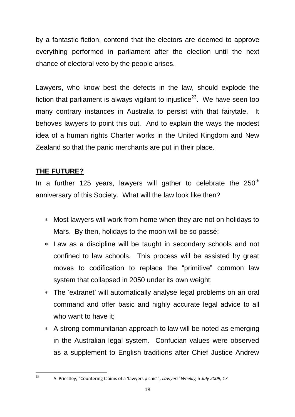by a fantastic fiction, contend that the electors are deemed to approve everything performed in parliament after the election until the next chance of electoral veto by the people arises.

Lawyers, who know best the defects in the law, should explode the fiction that parliament is always vigilant to injustice<sup>23</sup>. We have seen too many contrary instances in Australia to persist with that fairytale. It behoves lawyers to point this out. And to explain the ways the modest idea of a human rights Charter works in the United Kingdom and New Zealand so that the panic merchants are put in their place.

#### **THE FUTURE?**

 $\frac{1}{23}$ 

In a further 125 years, lawyers will gather to celebrate the  $250<sup>th</sup>$ anniversary of this Society. What will the law look like then?

- Most lawyers will work from home when they are not on holidays to Mars. By then, holidays to the moon will be so passé;
- Law as a discipline will be taught in secondary schools and not confined to law schools. This process will be assisted by great moves to codification to replace the "primitive" common law system that collapsed in 2050 under its own weight;
- The "extranet" will automatically analyse legal problems on an oral command and offer basic and highly accurate legal advice to all who want to have it;
- A strong communitarian approach to law will be noted as emerging in the Australian legal system. Confucian values were observed as a supplement to English traditions after Chief Justice Andrew

A. Priestley, "Countering Claims of a 'lawyers picnic'", *Lawyers' Weekly, 3 July 2009, 17.*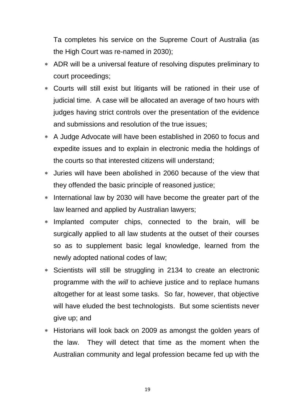Ta completes his service on the Supreme Court of Australia (as the High Court was re-named in 2030);

- ADR will be a universal feature of resolving disputes preliminary to court proceedings;
- Courts will still exist but litigants will be rationed in their use of judicial time. A case will be allocated an average of two hours with judges having strict controls over the presentation of the evidence and submissions and resolution of the true issues;
- A Judge Advocate will have been established in 2060 to focus and expedite issues and to explain in electronic media the holdings of the courts so that interested citizens will understand;
- Juries will have been abolished in 2060 because of the view that they offended the basic principle of reasoned justice;
- International law by 2030 will have become the greater part of the law learned and applied by Australian lawyers;
- Implanted computer chips, connected to the brain, will be surgically applied to all law students at the outset of their courses so as to supplement basic legal knowledge, learned from the newly adopted national codes of law;
- Scientists will still be struggling in 2134 to create an electronic programme with the *will* to achieve justice and to replace humans altogether for at least some tasks. So far, however, that objective will have eluded the best technologists. But some scientists never give up; and
- Historians will look back on 2009 as amongst the golden years of the law. They will detect that time as the moment when the Australian community and legal profession became fed up with the